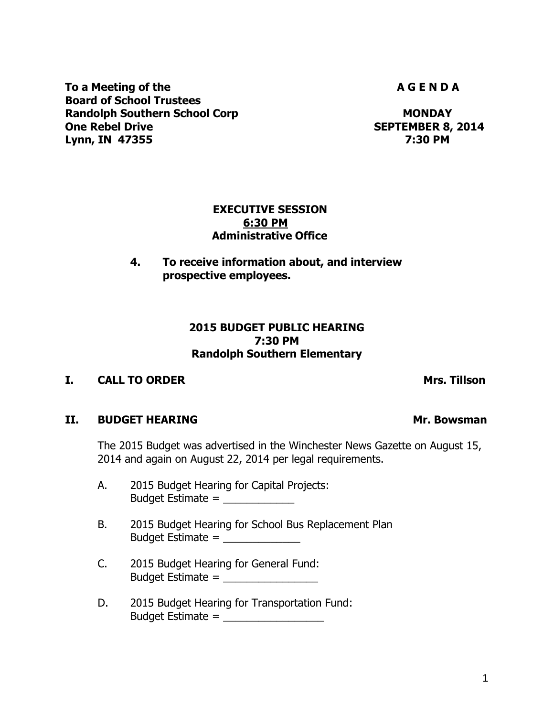To a Meeting of the **A G E N D A** G E N D A **Board of School Trustees Randolph Southern School Corp MONDAY One Rebel Drive SEPTEMBER 8, 2014** 

### **EXECUTIVE SESSION 6:30 PM Administrative Office**

# **4. To receive information about, and interview prospective employees.**

## **2015 BUDGET PUBLIC HEARING 7:30 PM Randolph Southern Elementary**

# **I. CALL TO ORDER Mrs. Tillson**

# **II.** BUDGET HEARING Mr. Bowsman

The 2015 Budget was advertised in the Winchester News Gazette on August 15, 2014 and again on August 22, 2014 per legal requirements.

- A. 2015 Budget Hearing for Capital Projects: Budget Estimate = \_\_\_\_\_\_\_\_\_\_\_\_
- B. 2015 Budget Hearing for School Bus Replacement Plan Budget Estimate =  $\frac{1}{2}$
- C. 2015 Budget Hearing for General Fund: Budget Estimate =  $\frac{1}{2}$
- D. 2015 Budget Hearing for Transportation Fund: Budget Estimate  $=$

**Lynn, IN 47355 7:30 PM**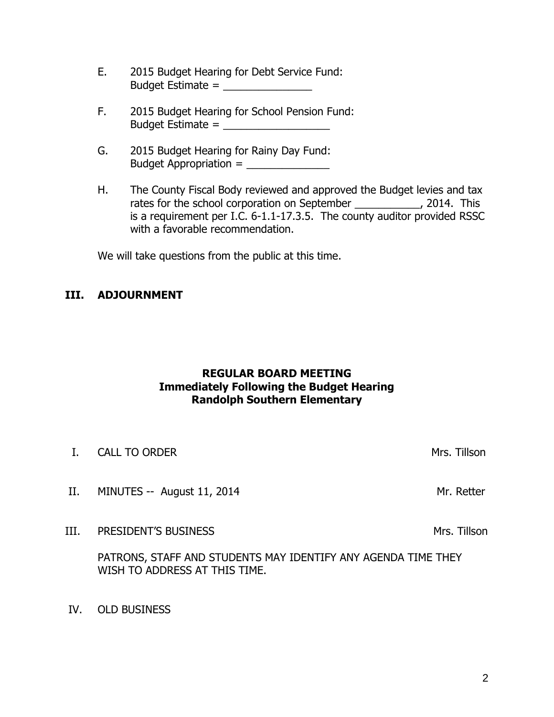- E. 2015 Budget Hearing for Debt Service Fund: Budget Estimate  $=$
- F. 2015 Budget Hearing for School Pension Fund:  $Budqet$  Estimate  $=$
- G. 2015 Budget Hearing for Rainy Day Fund: Budget Appropriation = \_\_\_\_\_\_\_\_\_\_\_\_\_\_
- H. The County Fiscal Body reviewed and approved the Budget levies and tax rates for the school corporation on September \_\_\_\_\_\_\_\_\_\_, 2014. This is a requirement per I.C. 6-1.1-17.3.5. The county auditor provided RSSC with a favorable recommendation.

We will take questions from the public at this time.

## **III. ADJOURNMENT**

## **REGULAR BOARD MEETING Immediately Following the Budget Hearing Randolph Southern Elementary**

- I. CALL TO ORDER Mrs. Tillson
- II. MINUTES -- August 11, 2014 MINUTES -- August 11, 2014
- III. PRESIDENT'S BUSINESS Manual Control of the Mrs. Tillson

PATRONS, STAFF AND STUDENTS MAY IDENTIFY ANY AGENDA TIME THEY WISH TO ADDRESS AT THIS TIME.

IV. OLD BUSINESS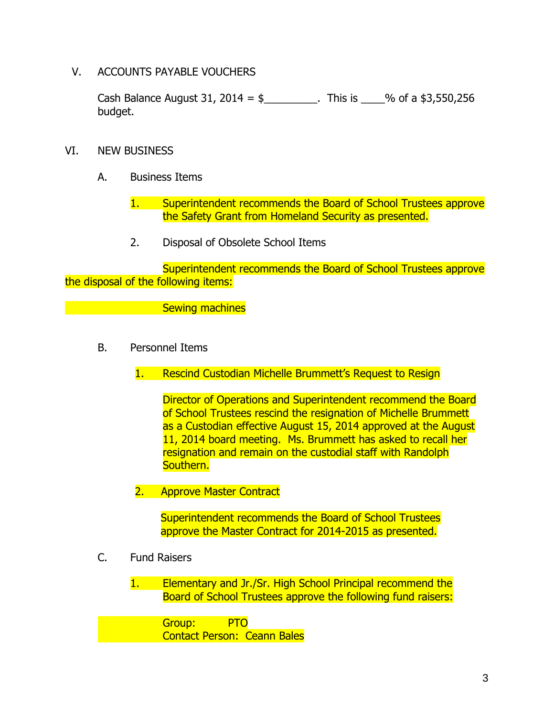V. ACCOUNTS PAYABLE VOUCHERS

Cash Balance August 31, 2014 =  $\frac{1}{2}$  This is \_\_\_% of a \$3,550,256 budget.

- VI. NEW BUSINESS
	- A. Business Items
		- 1. Superintendent recommends the Board of School Trustees approve the Safety Grant from Homeland Security as presented.
		- 2. Disposal of Obsolete School Items

Superintendent recommends the Board of School Trustees approve the disposal of the following items:

Sewing machines

- B. Personnel Items
	- 1. Rescind Custodian Michelle Brummett's Request to Resign

Director of Operations and Superintendent recommend the Board of School Trustees rescind the resignation of Michelle Brummett as a Custodian effective August 15, 2014 approved at the August 11, 2014 board meeting. Ms. Brummett has asked to recall her resignation and remain on the custodial staff with Randolph Southern.

2. Approve Master Contract

Superintendent recommends the Board of School Trustees approve the Master Contract for 2014-2015 as presented.

C. Fund Raisers

1. Elementary and Jr./Sr. High School Principal recommend the Board of School Trustees approve the following fund raisers:

Group: PTO Contact Person: Ceann Bales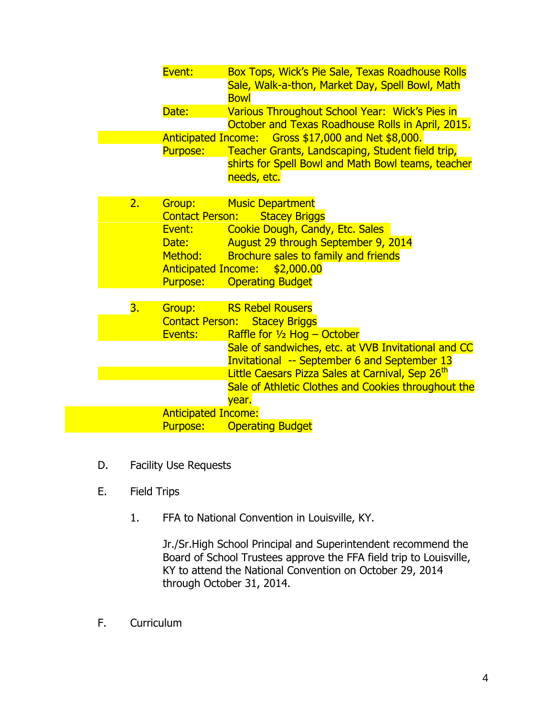|    | Event:                                 | <b>Box Tops, Wick's Pie Sale, Texas Roadhouse Rolls</b><br>Sale, Walk-a-thon, Market Day, Spell Bowl, Math<br><b>Bowl</b> |  |  |  |  |  |
|----|----------------------------------------|---------------------------------------------------------------------------------------------------------------------------|--|--|--|--|--|
|    | Date:                                  | Various Throughout School Year: Wick's Pies in<br>October and Texas Roadhouse Rolls in April, 2015.                       |  |  |  |  |  |
|    |                                        | Anticipated Income: Gross \$17,000 and Net \$8,000.                                                                       |  |  |  |  |  |
|    | <b>Purpose:</b>                        | Teacher Grants, Landscaping, Student field trip,                                                                          |  |  |  |  |  |
|    |                                        | shirts for Spell Bowl and Math Bowl teams, teacher                                                                        |  |  |  |  |  |
|    |                                        | needs, etc.                                                                                                               |  |  |  |  |  |
| 2. | Group:                                 | <b>Music Department</b>                                                                                                   |  |  |  |  |  |
|    | <b>Contact Person:</b>                 | <b>Stacey Briggs</b>                                                                                                      |  |  |  |  |  |
|    | Event:                                 | Cookie Dough, Candy, Etc. Sales                                                                                           |  |  |  |  |  |
|    | Date:                                  | August 29 through September 9, 2014                                                                                       |  |  |  |  |  |
|    | Method:                                | <b>Brochure sales to family and friends</b>                                                                               |  |  |  |  |  |
|    | <b>Anticipated Income:</b><br>Purpose: | \$2,000.00                                                                                                                |  |  |  |  |  |
|    |                                        | <b>Operating Budget</b>                                                                                                   |  |  |  |  |  |
| 3. | Group:                                 | <b>RS Rebel Rousers</b>                                                                                                   |  |  |  |  |  |
|    | <b>Contact Person:</b>                 | <b>Stacey Briggs</b>                                                                                                      |  |  |  |  |  |
|    | Events:                                | Raffle for $\frac{1}{2}$ Hog – October                                                                                    |  |  |  |  |  |
|    |                                        | Sale of sandwiches, etc. at VVB Invitational and CC                                                                       |  |  |  |  |  |
|    |                                        | <b>Invitational -- September 6 and September 13</b>                                                                       |  |  |  |  |  |
|    |                                        | Little Caesars Pizza Sales at Carnival, Sep 26 <sup>th</sup>                                                              |  |  |  |  |  |
|    |                                        | Sale of Athletic Clothes and Cookies throughout the                                                                       |  |  |  |  |  |
|    |                                        | year.                                                                                                                     |  |  |  |  |  |
|    | <b>Anticipated Income:</b>             |                                                                                                                           |  |  |  |  |  |
|    | Purpose:                               | <b>Operating Budget</b>                                                                                                   |  |  |  |  |  |

- D. Facility Use Requests
- E. Field Trips
	- 1. FFA to National Convention in Louisville, KY.

Jr./Sr.High School Principal and Superintendent recommend the Board of School Trustees approve the FFA field trip to Louisville, KY to attend the National Convention on October 29, 2014 through October 31, 2014.

F. Curriculum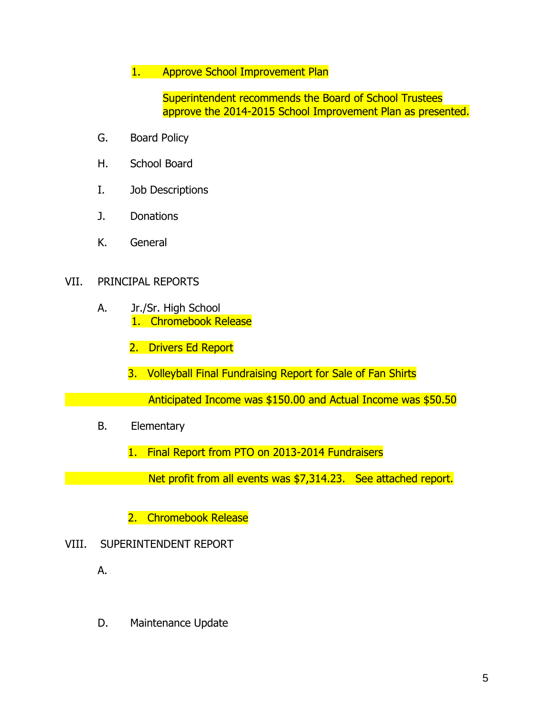## 1. Approve School Improvement Plan

Superintendent recommends the Board of School Trustees approve the 2014-2015 School Improvement Plan as presented.

- G. Board Policy
- H. School Board
- I. Job Descriptions
- J. Donations
- K. General

### VII. PRINCIPAL REPORTS

- A. Jr./Sr. High School 1. Chromebook Release
	- 2. Drivers Ed Report
	- 3. Volleyball Final Fundraising Report for Sale of Fan Shirts
- Anticipated Income was \$150.00 and Actual Income was \$50.50
	- B. Elementary
		- 1. Final Report from PTO on 2013-2014 Fundraisers

Net profit from all events was \$7,314.23. See attached report.

- 2. Chromebook Release
- VIII. SUPERINTENDENT REPORT
	- A.
	- D. Maintenance Update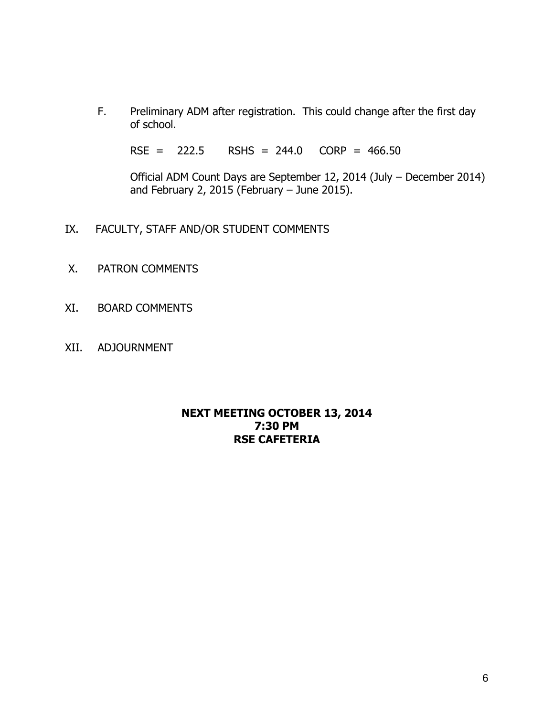F. Preliminary ADM after registration. This could change after the first day of school.

RSE = 222.5 RSHS = 244.0 CORP = 466.50

Official ADM Count Days are September 12, 2014 (July – December 2014) and February 2, 2015 (February – June 2015).

- IX. FACULTY, STAFF AND/OR STUDENT COMMENTS
- X. PATRON COMMENTS
- XI. BOARD COMMENTS
- XII. ADJOURNMENT

## **NEXT MEETING OCTOBER 13, 2014 7:30 PM RSE CAFETERIA**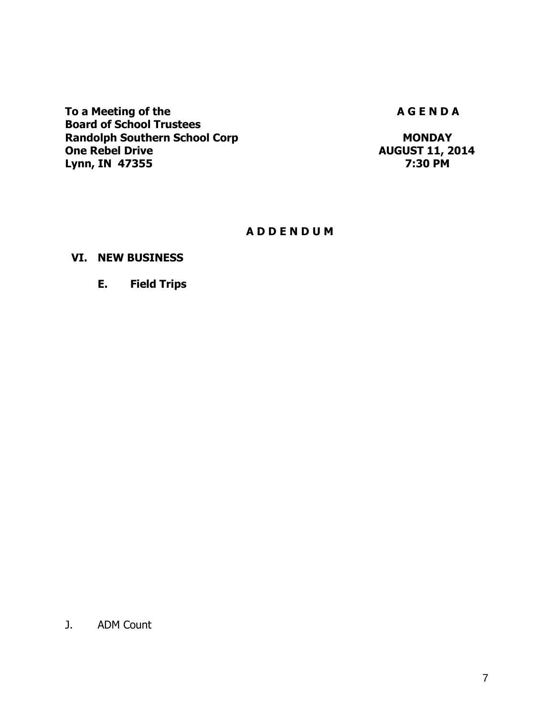To a Meeting of the **A G E N D A** G E N D A **Board of School Trustees Randolph Southern School Corp MONDAY 11, 2 Lynn, IN 47355** 

**One Rebel Drive AUGUST 11, 2014**

## **A D D E N D U M**

## **VI. NEW BUSINESS**

### **E. Field Trips**

J. ADM Count